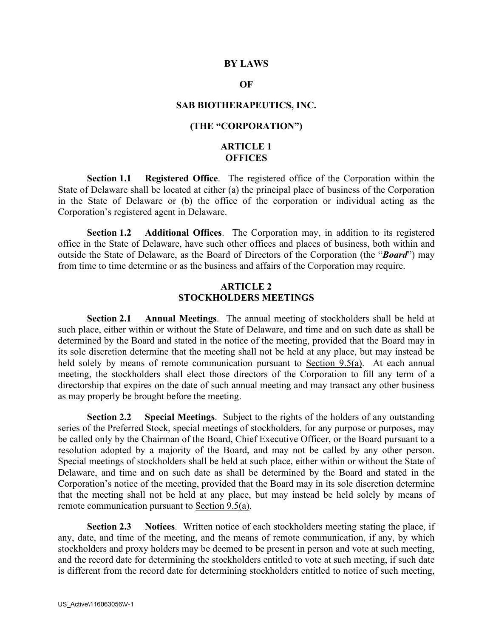#### **BY LAWS**

### **OF**

#### **SAB BIOTHERAPEUTICS, INC.**

#### **(THE "CORPORATION")**

## **ARTICLE 1 OFFICES**

**Section 1.1 Registered Office**. The registered office of the Corporation within the State of Delaware shall be located at either (a) the principal place of business of the Corporation in the State of Delaware or (b) the office of the corporation or individual acting as the Corporation's registered agent in Delaware.

**Section 1.2 Additional Offices**. The Corporation may, in addition to its registered office in the State of Delaware, have such other offices and places of business, both within and outside the State of Delaware, as the Board of Directors of the Corporation (the "*Board*") may from time to time determine or as the business and affairs of the Corporation may require.

### **ARTICLE 2 STOCKHOLDERS MEETINGS**

**Section 2.1 Annual Meetings**. The annual meeting of stockholders shall be held at such place, either within or without the State of Delaware, and time and on such date as shall be determined by the Board and stated in the notice of the meeting, provided that the Board may in its sole discretion determine that the meeting shall not be held at any place, but may instead be held solely by means of remote communication pursuant to Section 9.5(a). At each annual meeting, the stockholders shall elect those directors of the Corporation to fill any term of a directorship that expires on the date of such annual meeting and may transact any other business as may properly be brought before the meeting.

**Section 2.2 Special Meetings**. Subject to the rights of the holders of any outstanding series of the Preferred Stock, special meetings of stockholders, for any purpose or purposes, may be called only by the Chairman of the Board, Chief Executive Officer, or the Board pursuant to a resolution adopted by a majority of the Board, and may not be called by any other person. Special meetings of stockholders shall be held at such place, either within or without the State of Delaware, and time and on such date as shall be determined by the Board and stated in the Corporation's notice of the meeting, provided that the Board may in its sole discretion determine that the meeting shall not be held at any place, but may instead be held solely by means of remote communication pursuant to Section 9.5(a).

**Section 2.3 Notices**. Written notice of each stockholders meeting stating the place, if any, date, and time of the meeting, and the means of remote communication, if any, by which stockholders and proxy holders may be deemed to be present in person and vote at such meeting, and the record date for determining the stockholders entitled to vote at such meeting, if such date is different from the record date for determining stockholders entitled to notice of such meeting,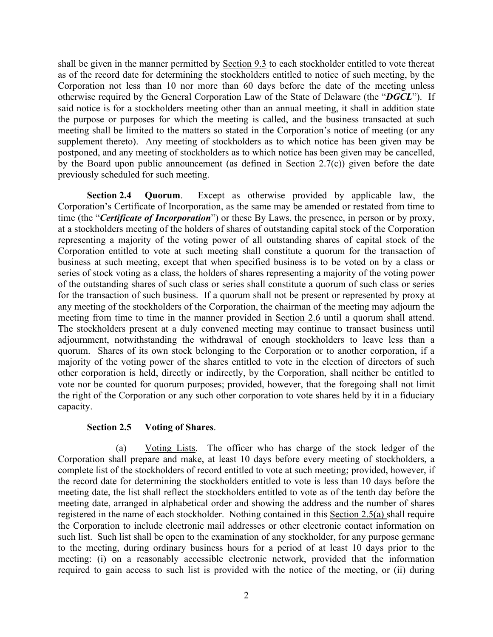shall be given in the manner permitted by Section 9.3 to each stockholder entitled to vote thereat as of the record date for determining the stockholders entitled to notice of such meeting, by the Corporation not less than 10 nor more than 60 days before the date of the meeting unless otherwise required by the General Corporation Law of the State of Delaware (the "*DGCL*"). If said notice is for a stockholders meeting other than an annual meeting, it shall in addition state the purpose or purposes for which the meeting is called, and the business transacted at such meeting shall be limited to the matters so stated in the Corporation's notice of meeting (or any supplement thereto). Any meeting of stockholders as to which notice has been given may be postponed, and any meeting of stockholders as to which notice has been given may be cancelled, by the Board upon public announcement (as defined in Section 2.7(c)) given before the date previously scheduled for such meeting.

**Section 2.4 Quorum**. Except as otherwise provided by applicable law, the Corporation's Certificate of Incorporation, as the same may be amended or restated from time to time (the "*Certificate of Incorporation*") or these By Laws, the presence, in person or by proxy, at a stockholders meeting of the holders of shares of outstanding capital stock of the Corporation representing a majority of the voting power of all outstanding shares of capital stock of the Corporation entitled to vote at such meeting shall constitute a quorum for the transaction of business at such meeting, except that when specified business is to be voted on by a class or series of stock voting as a class, the holders of shares representing a majority of the voting power of the outstanding shares of such class or series shall constitute a quorum of such class or series for the transaction of such business. If a quorum shall not be present or represented by proxy at any meeting of the stockholders of the Corporation, the chairman of the meeting may adjourn the meeting from time to time in the manner provided in Section 2.6 until a quorum shall attend. The stockholders present at a duly convened meeting may continue to transact business until adjournment, notwithstanding the withdrawal of enough stockholders to leave less than a quorum. Shares of its own stock belonging to the Corporation or to another corporation, if a majority of the voting power of the shares entitled to vote in the election of directors of such other corporation is held, directly or indirectly, by the Corporation, shall neither be entitled to vote nor be counted for quorum purposes; provided, however, that the foregoing shall not limit the right of the Corporation or any such other corporation to vote shares held by it in a fiduciary capacity.

### **Section 2.5 Voting of Shares**.

(a) Voting Lists. The officer who has charge of the stock ledger of the Corporation shall prepare and make, at least 10 days before every meeting of stockholders, a complete list of the stockholders of record entitled to vote at such meeting; provided, however, if the record date for determining the stockholders entitled to vote is less than 10 days before the meeting date, the list shall reflect the stockholders entitled to vote as of the tenth day before the meeting date, arranged in alphabetical order and showing the address and the number of shares registered in the name of each stockholder. Nothing contained in this Section 2.5(a) shall require the Corporation to include electronic mail addresses or other electronic contact information on such list. Such list shall be open to the examination of any stockholder, for any purpose germane to the meeting, during ordinary business hours for a period of at least 10 days prior to the meeting: (i) on a reasonably accessible electronic network, provided that the information required to gain access to such list is provided with the notice of the meeting, or (ii) during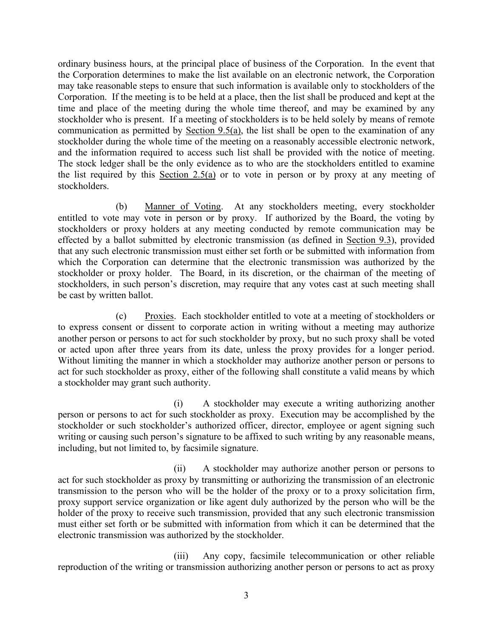ordinary business hours, at the principal place of business of the Corporation. In the event that the Corporation determines to make the list available on an electronic network, the Corporation may take reasonable steps to ensure that such information is available only to stockholders of the Corporation. If the meeting is to be held at a place, then the list shall be produced and kept at the time and place of the meeting during the whole time thereof, and may be examined by any stockholder who is present. If a meeting of stockholders is to be held solely by means of remote communication as permitted by Section 9.5(a), the list shall be open to the examination of any stockholder during the whole time of the meeting on a reasonably accessible electronic network, and the information required to access such list shall be provided with the notice of meeting. The stock ledger shall be the only evidence as to who are the stockholders entitled to examine the list required by this Section 2.5(a) or to vote in person or by proxy at any meeting of stockholders.

(b) Manner of Voting. At any stockholders meeting, every stockholder entitled to vote may vote in person or by proxy. If authorized by the Board, the voting by stockholders or proxy holders at any meeting conducted by remote communication may be effected by a ballot submitted by electronic transmission (as defined in Section 9.3), provided that any such electronic transmission must either set forth or be submitted with information from which the Corporation can determine that the electronic transmission was authorized by the stockholder or proxy holder. The Board, in its discretion, or the chairman of the meeting of stockholders, in such person's discretion, may require that any votes cast at such meeting shall be cast by written ballot.

(c) Proxies. Each stockholder entitled to vote at a meeting of stockholders or to express consent or dissent to corporate action in writing without a meeting may authorize another person or persons to act for such stockholder by proxy, but no such proxy shall be voted or acted upon after three years from its date, unless the proxy provides for a longer period. Without limiting the manner in which a stockholder may authorize another person or persons to act for such stockholder as proxy, either of the following shall constitute a valid means by which a stockholder may grant such authority.

(i) A stockholder may execute a writing authorizing another person or persons to act for such stockholder as proxy. Execution may be accomplished by the stockholder or such stockholder's authorized officer, director, employee or agent signing such writing or causing such person's signature to be affixed to such writing by any reasonable means, including, but not limited to, by facsimile signature.

(ii) A stockholder may authorize another person or persons to act for such stockholder as proxy by transmitting or authorizing the transmission of an electronic transmission to the person who will be the holder of the proxy or to a proxy solicitation firm, proxy support service organization or like agent duly authorized by the person who will be the holder of the proxy to receive such transmission, provided that any such electronic transmission must either set forth or be submitted with information from which it can be determined that the electronic transmission was authorized by the stockholder.

(iii) Any copy, facsimile telecommunication or other reliable reproduction of the writing or transmission authorizing another person or persons to act as proxy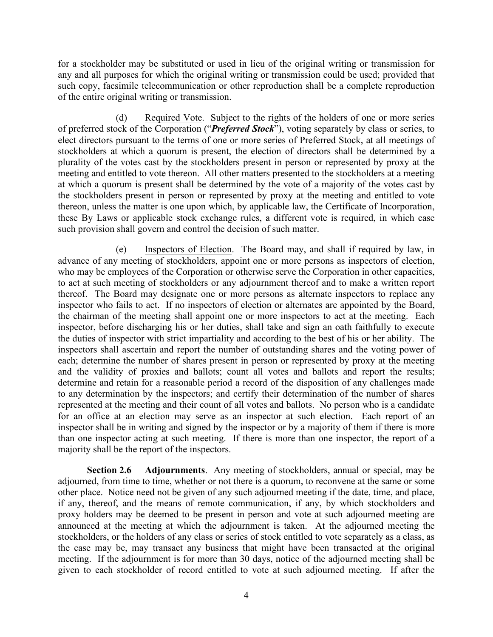for a stockholder may be substituted or used in lieu of the original writing or transmission for any and all purposes for which the original writing or transmission could be used; provided that such copy, facsimile telecommunication or other reproduction shall be a complete reproduction of the entire original writing or transmission.

(d) Required Vote. Subject to the rights of the holders of one or more series of preferred stock of the Corporation ("*Preferred Stock*"), voting separately by class or series, to elect directors pursuant to the terms of one or more series of Preferred Stock, at all meetings of stockholders at which a quorum is present, the election of directors shall be determined by a plurality of the votes cast by the stockholders present in person or represented by proxy at the meeting and entitled to vote thereon. All other matters presented to the stockholders at a meeting at which a quorum is present shall be determined by the vote of a majority of the votes cast by the stockholders present in person or represented by proxy at the meeting and entitled to vote thereon, unless the matter is one upon which, by applicable law, the Certificate of Incorporation, these By Laws or applicable stock exchange rules, a different vote is required, in which case such provision shall govern and control the decision of such matter.

(e) Inspectors of Election. The Board may, and shall if required by law, in advance of any meeting of stockholders, appoint one or more persons as inspectors of election, who may be employees of the Corporation or otherwise serve the Corporation in other capacities, to act at such meeting of stockholders or any adjournment thereof and to make a written report thereof. The Board may designate one or more persons as alternate inspectors to replace any inspector who fails to act. If no inspectors of election or alternates are appointed by the Board, the chairman of the meeting shall appoint one or more inspectors to act at the meeting. Each inspector, before discharging his or her duties, shall take and sign an oath faithfully to execute the duties of inspector with strict impartiality and according to the best of his or her ability. The inspectors shall ascertain and report the number of outstanding shares and the voting power of each; determine the number of shares present in person or represented by proxy at the meeting and the validity of proxies and ballots; count all votes and ballots and report the results; determine and retain for a reasonable period a record of the disposition of any challenges made to any determination by the inspectors; and certify their determination of the number of shares represented at the meeting and their count of all votes and ballots. No person who is a candidate for an office at an election may serve as an inspector at such election. Each report of an inspector shall be in writing and signed by the inspector or by a majority of them if there is more than one inspector acting at such meeting. If there is more than one inspector, the report of a majority shall be the report of the inspectors.

**Section 2.6 Adjournments**. Any meeting of stockholders, annual or special, may be adjourned, from time to time, whether or not there is a quorum, to reconvene at the same or some other place. Notice need not be given of any such adjourned meeting if the date, time, and place, if any, thereof, and the means of remote communication, if any, by which stockholders and proxy holders may be deemed to be present in person and vote at such adjourned meeting are announced at the meeting at which the adjournment is taken. At the adjourned meeting the stockholders, or the holders of any class or series of stock entitled to vote separately as a class, as the case may be, may transact any business that might have been transacted at the original meeting. If the adjournment is for more than 30 days, notice of the adjourned meeting shall be given to each stockholder of record entitled to vote at such adjourned meeting. If after the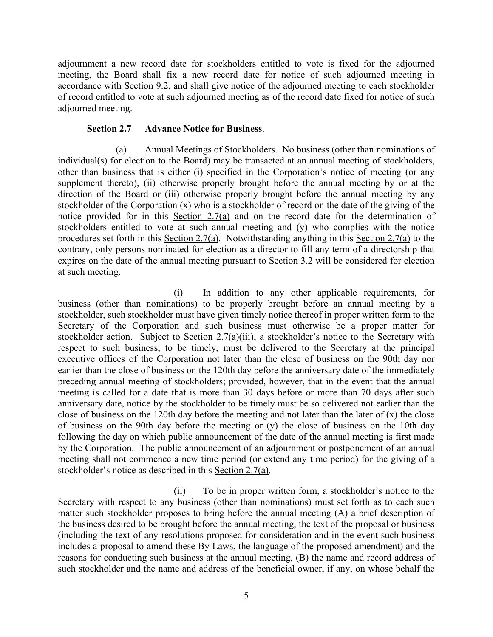adjournment a new record date for stockholders entitled to vote is fixed for the adjourned meeting, the Board shall fix a new record date for notice of such adjourned meeting in accordance with Section 9.2, and shall give notice of the adjourned meeting to each stockholder of record entitled to vote at such adjourned meeting as of the record date fixed for notice of such adjourned meeting.

#### **Section 2.7 Advance Notice for Business**.

(a) Annual Meetings of Stockholders. No business (other than nominations of individual(s) for election to the Board) may be transacted at an annual meeting of stockholders, other than business that is either (i) specified in the Corporation's notice of meeting (or any supplement thereto), (ii) otherwise properly brought before the annual meeting by or at the direction of the Board or (iii) otherwise properly brought before the annual meeting by any stockholder of the Corporation (x) who is a stockholder of record on the date of the giving of the notice provided for in this Section 2.7(a) and on the record date for the determination of stockholders entitled to vote at such annual meeting and (y) who complies with the notice procedures set forth in this Section 2.7(a). Notwithstanding anything in this Section 2.7(a) to the contrary, only persons nominated for election as a director to fill any term of a directorship that expires on the date of the annual meeting pursuant to Section 3.2 will be considered for election at such meeting.

(i) In addition to any other applicable requirements, for business (other than nominations) to be properly brought before an annual meeting by a stockholder, such stockholder must have given timely notice thereof in proper written form to the Secretary of the Corporation and such business must otherwise be a proper matter for stockholder action. Subject to Section 2.7(a)(iii), a stockholder's notice to the Secretary with respect to such business, to be timely, must be delivered to the Secretary at the principal executive offices of the Corporation not later than the close of business on the 90th day nor earlier than the close of business on the 120th day before the anniversary date of the immediately preceding annual meeting of stockholders; provided, however, that in the event that the annual meeting is called for a date that is more than 30 days before or more than 70 days after such anniversary date, notice by the stockholder to be timely must be so delivered not earlier than the close of business on the 120th day before the meeting and not later than the later of (x) the close of business on the 90th day before the meeting or (y) the close of business on the 10th day following the day on which public announcement of the date of the annual meeting is first made by the Corporation. The public announcement of an adjournment or postponement of an annual meeting shall not commence a new time period (or extend any time period) for the giving of a stockholder's notice as described in this Section 2.7(a).

(ii) To be in proper written form, a stockholder's notice to the Secretary with respect to any business (other than nominations) must set forth as to each such matter such stockholder proposes to bring before the annual meeting (A) a brief description of the business desired to be brought before the annual meeting, the text of the proposal or business (including the text of any resolutions proposed for consideration and in the event such business includes a proposal to amend these By Laws, the language of the proposed amendment) and the reasons for conducting such business at the annual meeting, (B) the name and record address of such stockholder and the name and address of the beneficial owner, if any, on whose behalf the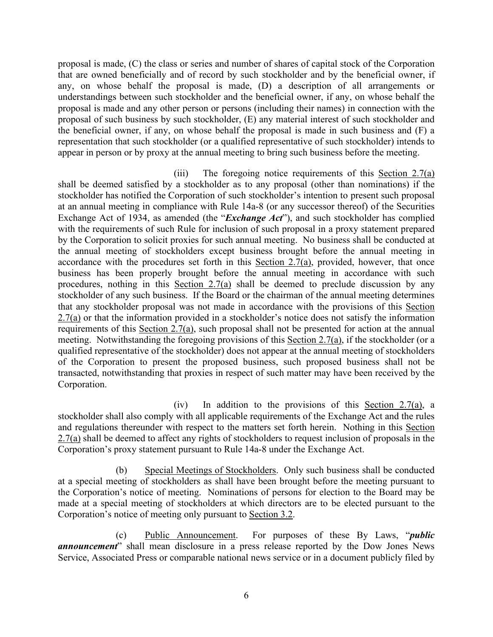proposal is made, (C) the class or series and number of shares of capital stock of the Corporation that are owned beneficially and of record by such stockholder and by the beneficial owner, if any, on whose behalf the proposal is made, (D) a description of all arrangements or understandings between such stockholder and the beneficial owner, if any, on whose behalf the proposal is made and any other person or persons (including their names) in connection with the proposal of such business by such stockholder, (E) any material interest of such stockholder and the beneficial owner, if any, on whose behalf the proposal is made in such business and (F) a representation that such stockholder (or a qualified representative of such stockholder) intends to appear in person or by proxy at the annual meeting to bring such business before the meeting.

(iii) The foregoing notice requirements of this Section 2.7(a) shall be deemed satisfied by a stockholder as to any proposal (other than nominations) if the stockholder has notified the Corporation of such stockholder's intention to present such proposal at an annual meeting in compliance with Rule 14a-8 (or any successor thereof) of the Securities Exchange Act of 1934, as amended (the "*Exchange Act*"), and such stockholder has complied with the requirements of such Rule for inclusion of such proposal in a proxy statement prepared by the Corporation to solicit proxies for such annual meeting. No business shall be conducted at the annual meeting of stockholders except business brought before the annual meeting in accordance with the procedures set forth in this Section 2.7(a), provided, however, that once business has been properly brought before the annual meeting in accordance with such procedures, nothing in this Section 2.7(a) shall be deemed to preclude discussion by any stockholder of any such business. If the Board or the chairman of the annual meeting determines that any stockholder proposal was not made in accordance with the provisions of this Section 2.7(a) or that the information provided in a stockholder's notice does not satisfy the information requirements of this Section 2.7(a), such proposal shall not be presented for action at the annual meeting. Notwithstanding the foregoing provisions of this Section 2.7(a), if the stockholder (or a qualified representative of the stockholder) does not appear at the annual meeting of stockholders of the Corporation to present the proposed business, such proposed business shall not be transacted, notwithstanding that proxies in respect of such matter may have been received by the Corporation.

(iv) In addition to the provisions of this Section 2.7(a), a stockholder shall also comply with all applicable requirements of the Exchange Act and the rules and regulations thereunder with respect to the matters set forth herein. Nothing in this Section 2.7(a) shall be deemed to affect any rights of stockholders to request inclusion of proposals in the Corporation's proxy statement pursuant to Rule 14a-8 under the Exchange Act.

(b) Special Meetings of Stockholders. Only such business shall be conducted at a special meeting of stockholders as shall have been brought before the meeting pursuant to the Corporation's notice of meeting. Nominations of persons for election to the Board may be made at a special meeting of stockholders at which directors are to be elected pursuant to the Corporation's notice of meeting only pursuant to Section 3.2.

(c) Public Announcement. For purposes of these By Laws, "*public announcement*" shall mean disclosure in a press release reported by the Dow Jones News Service, Associated Press or comparable national news service or in a document publicly filed by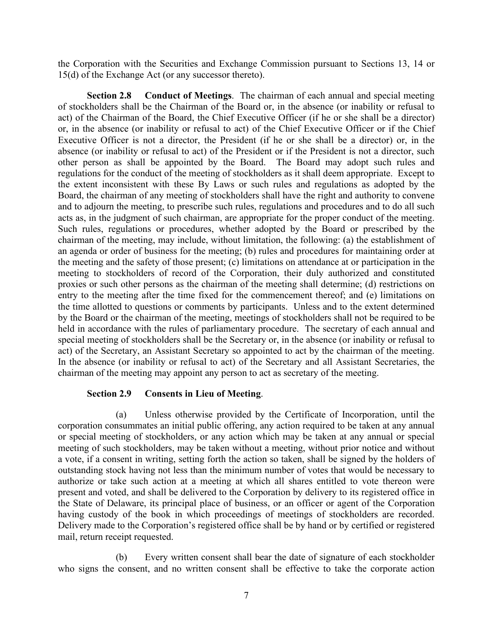the Corporation with the Securities and Exchange Commission pursuant to Sections 13, 14 or 15(d) of the Exchange Act (or any successor thereto).

**Section 2.8 Conduct of Meetings**. The chairman of each annual and special meeting of stockholders shall be the Chairman of the Board or, in the absence (or inability or refusal to act) of the Chairman of the Board, the Chief Executive Officer (if he or she shall be a director) or, in the absence (or inability or refusal to act) of the Chief Executive Officer or if the Chief Executive Officer is not a director, the President (if he or she shall be a director) or, in the absence (or inability or refusal to act) of the President or if the President is not a director, such other person as shall be appointed by the Board. The Board may adopt such rules and regulations for the conduct of the meeting of stockholders as it shall deem appropriate. Except to the extent inconsistent with these By Laws or such rules and regulations as adopted by the Board, the chairman of any meeting of stockholders shall have the right and authority to convene and to adjourn the meeting, to prescribe such rules, regulations and procedures and to do all such acts as, in the judgment of such chairman, are appropriate for the proper conduct of the meeting. Such rules, regulations or procedures, whether adopted by the Board or prescribed by the chairman of the meeting, may include, without limitation, the following: (a) the establishment of an agenda or order of business for the meeting; (b) rules and procedures for maintaining order at the meeting and the safety of those present; (c) limitations on attendance at or participation in the meeting to stockholders of record of the Corporation, their duly authorized and constituted proxies or such other persons as the chairman of the meeting shall determine; (d) restrictions on entry to the meeting after the time fixed for the commencement thereof; and (e) limitations on the time allotted to questions or comments by participants. Unless and to the extent determined by the Board or the chairman of the meeting, meetings of stockholders shall not be required to be held in accordance with the rules of parliamentary procedure. The secretary of each annual and special meeting of stockholders shall be the Secretary or, in the absence (or inability or refusal to act) of the Secretary, an Assistant Secretary so appointed to act by the chairman of the meeting. In the absence (or inability or refusal to act) of the Secretary and all Assistant Secretaries, the chairman of the meeting may appoint any person to act as secretary of the meeting.

### **Section 2.9 Consents in Lieu of Meeting**.

(a) Unless otherwise provided by the Certificate of Incorporation, until the corporation consummates an initial public offering, any action required to be taken at any annual or special meeting of stockholders, or any action which may be taken at any annual or special meeting of such stockholders, may be taken without a meeting, without prior notice and without a vote, if a consent in writing, setting forth the action so taken, shall be signed by the holders of outstanding stock having not less than the minimum number of votes that would be necessary to authorize or take such action at a meeting at which all shares entitled to vote thereon were present and voted, and shall be delivered to the Corporation by delivery to its registered office in the State of Delaware, its principal place of business, or an officer or agent of the Corporation having custody of the book in which proceedings of meetings of stockholders are recorded. Delivery made to the Corporation's registered office shall be by hand or by certified or registered mail, return receipt requested.

(b) Every written consent shall bear the date of signature of each stockholder who signs the consent, and no written consent shall be effective to take the corporate action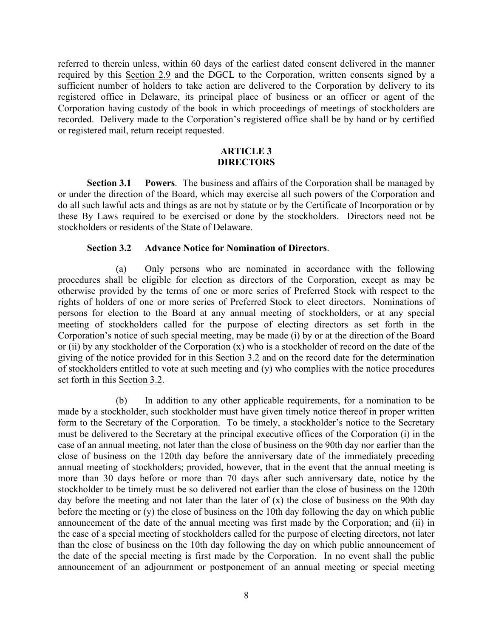referred to therein unless, within 60 days of the earliest dated consent delivered in the manner required by this Section 2.9 and the DGCL to the Corporation, written consents signed by a sufficient number of holders to take action are delivered to the Corporation by delivery to its registered office in Delaware, its principal place of business or an officer or agent of the Corporation having custody of the book in which proceedings of meetings of stockholders are recorded. Delivery made to the Corporation's registered office shall be by hand or by certified or registered mail, return receipt requested.

## **ARTICLE 3 DIRECTORS**

**Section 3.1 Powers**. The business and affairs of the Corporation shall be managed by or under the direction of the Board, which may exercise all such powers of the Corporation and do all such lawful acts and things as are not by statute or by the Certificate of Incorporation or by these By Laws required to be exercised or done by the stockholders. Directors need not be stockholders or residents of the State of Delaware.

## **Section 3.2 Advance Notice for Nomination of Directors**.

(a) Only persons who are nominated in accordance with the following procedures shall be eligible for election as directors of the Corporation, except as may be otherwise provided by the terms of one or more series of Preferred Stock with respect to the rights of holders of one or more series of Preferred Stock to elect directors. Nominations of persons for election to the Board at any annual meeting of stockholders, or at any special meeting of stockholders called for the purpose of electing directors as set forth in the Corporation's notice of such special meeting, may be made (i) by or at the direction of the Board or (ii) by any stockholder of the Corporation (x) who is a stockholder of record on the date of the giving of the notice provided for in this Section 3.2 and on the record date for the determination of stockholders entitled to vote at such meeting and (y) who complies with the notice procedures set forth in this Section 3.2.

(b) In addition to any other applicable requirements, for a nomination to be made by a stockholder, such stockholder must have given timely notice thereof in proper written form to the Secretary of the Corporation. To be timely, a stockholder's notice to the Secretary must be delivered to the Secretary at the principal executive offices of the Corporation (i) in the case of an annual meeting, not later than the close of business on the 90th day nor earlier than the close of business on the 120th day before the anniversary date of the immediately preceding annual meeting of stockholders; provided, however, that in the event that the annual meeting is more than 30 days before or more than 70 days after such anniversary date, notice by the stockholder to be timely must be so delivered not earlier than the close of business on the 120th day before the meeting and not later than the later of (x) the close of business on the 90th day before the meeting or (y) the close of business on the 10th day following the day on which public announcement of the date of the annual meeting was first made by the Corporation; and (ii) in the case of a special meeting of stockholders called for the purpose of electing directors, not later than the close of business on the 10th day following the day on which public announcement of the date of the special meeting is first made by the Corporation. In no event shall the public announcement of an adjournment or postponement of an annual meeting or special meeting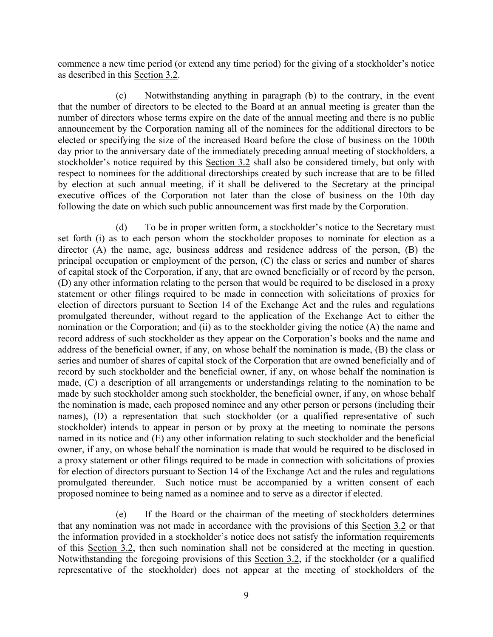commence a new time period (or extend any time period) for the giving of a stockholder's notice as described in this Section 3.2.

(c) Notwithstanding anything in paragraph (b) to the contrary, in the event that the number of directors to be elected to the Board at an annual meeting is greater than the number of directors whose terms expire on the date of the annual meeting and there is no public announcement by the Corporation naming all of the nominees for the additional directors to be elected or specifying the size of the increased Board before the close of business on the 100th day prior to the anniversary date of the immediately preceding annual meeting of stockholders, a stockholder's notice required by this Section 3.2 shall also be considered timely, but only with respect to nominees for the additional directorships created by such increase that are to be filled by election at such annual meeting, if it shall be delivered to the Secretary at the principal executive offices of the Corporation not later than the close of business on the 10th day following the date on which such public announcement was first made by the Corporation.

(d) To be in proper written form, a stockholder's notice to the Secretary must set forth (i) as to each person whom the stockholder proposes to nominate for election as a director (A) the name, age, business address and residence address of the person, (B) the principal occupation or employment of the person, (C) the class or series and number of shares of capital stock of the Corporation, if any, that are owned beneficially or of record by the person, (D) any other information relating to the person that would be required to be disclosed in a proxy statement or other filings required to be made in connection with solicitations of proxies for election of directors pursuant to Section 14 of the Exchange Act and the rules and regulations promulgated thereunder, without regard to the application of the Exchange Act to either the nomination or the Corporation; and (ii) as to the stockholder giving the notice (A) the name and record address of such stockholder as they appear on the Corporation's books and the name and address of the beneficial owner, if any, on whose behalf the nomination is made, (B) the class or series and number of shares of capital stock of the Corporation that are owned beneficially and of record by such stockholder and the beneficial owner, if any, on whose behalf the nomination is made, (C) a description of all arrangements or understandings relating to the nomination to be made by such stockholder among such stockholder, the beneficial owner, if any, on whose behalf the nomination is made, each proposed nominee and any other person or persons (including their names), (D) a representation that such stockholder (or a qualified representative of such stockholder) intends to appear in person or by proxy at the meeting to nominate the persons named in its notice and (E) any other information relating to such stockholder and the beneficial owner, if any, on whose behalf the nomination is made that would be required to be disclosed in a proxy statement or other filings required to be made in connection with solicitations of proxies for election of directors pursuant to Section 14 of the Exchange Act and the rules and regulations promulgated thereunder. Such notice must be accompanied by a written consent of each proposed nominee to being named as a nominee and to serve as a director if elected.

(e) If the Board or the chairman of the meeting of stockholders determines that any nomination was not made in accordance with the provisions of this Section 3.2 or that the information provided in a stockholder's notice does not satisfy the information requirements of this Section 3.2, then such nomination shall not be considered at the meeting in question. Notwithstanding the foregoing provisions of this Section 3.2, if the stockholder (or a qualified representative of the stockholder) does not appear at the meeting of stockholders of the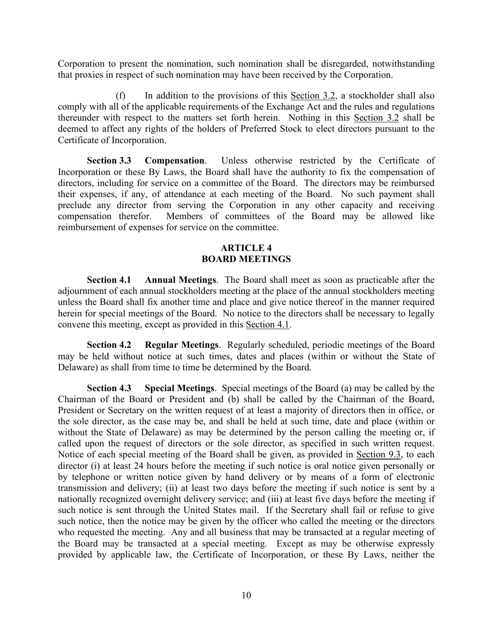Corporation to present the nomination, such nomination shall be disregarded, notwithstanding that proxies in respect of such nomination may have been received by the Corporation.

(f) In addition to the provisions of this Section  $3.2$ , a stockholder shall also comply with all of the applicable requirements of the Exchange Act and the rules and regulations thereunder with respect to the matters set forth herein. Nothing in this Section 3.2 shall be deemed to affect any rights of the holders of Preferred Stock to elect directors pursuant to the Certificate of Incorporation.

**Section 3.3 Compensation**. Unless otherwise restricted by the Certificate of Incorporation or these By Laws, the Board shall have the authority to fix the compensation of directors, including for service on a committee of the Board. The directors may be reimbursed their expenses, if any, of attendance at each meeting of the Board. No such payment shall preclude any director from serving the Corporation in any other capacity and receiving compensation therefor. Members of committees of the Board may be allowed like reimbursement of expenses for service on the committee.

## **ARTICLE 4 BOARD MEETINGS**

**Section 4.1 Annual Meetings**. The Board shall meet as soon as practicable after the adjournment of each annual stockholders meeting at the place of the annual stockholders meeting unless the Board shall fix another time and place and give notice thereof in the manner required herein for special meetings of the Board. No notice to the directors shall be necessary to legally convene this meeting, except as provided in this Section 4.1.

**Section 4.2 Regular Meetings**. Regularly scheduled, periodic meetings of the Board may be held without notice at such times, dates and places (within or without the State of Delaware) as shall from time to time be determined by the Board.

**Section 4.3 Special Meetings**. Special meetings of the Board (a) may be called by the Chairman of the Board or President and (b) shall be called by the Chairman of the Board, President or Secretary on the written request of at least a majority of directors then in office, or the sole director, as the case may be, and shall be held at such time, date and place (within or without the State of Delaware) as may be determined by the person calling the meeting or, if called upon the request of directors or the sole director, as specified in such written request. Notice of each special meeting of the Board shall be given, as provided in Section 9.3, to each director (i) at least 24 hours before the meeting if such notice is oral notice given personally or by telephone or written notice given by hand delivery or by means of a form of electronic transmission and delivery; (ii) at least two days before the meeting if such notice is sent by a nationally recognized overnight delivery service; and (iii) at least five days before the meeting if such notice is sent through the United States mail. If the Secretary shall fail or refuse to give such notice, then the notice may be given by the officer who called the meeting or the directors who requested the meeting. Any and all business that may be transacted at a regular meeting of the Board may be transacted at a special meeting. Except as may be otherwise expressly provided by applicable law, the Certificate of Incorporation, or these By Laws, neither the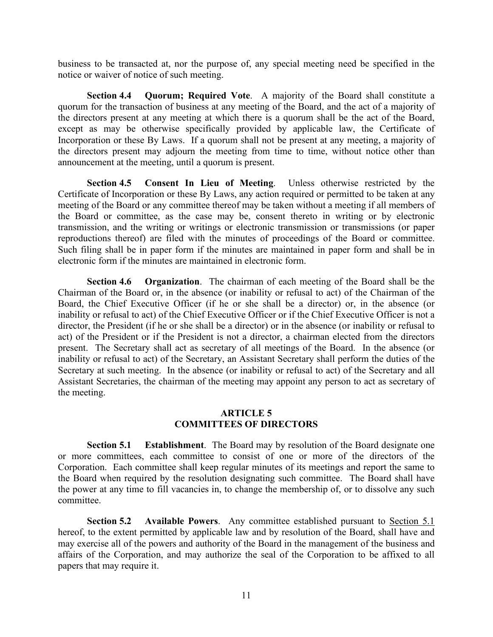business to be transacted at, nor the purpose of, any special meeting need be specified in the notice or waiver of notice of such meeting.

**Section 4.4 Quorum; Required Vote**. A majority of the Board shall constitute a quorum for the transaction of business at any meeting of the Board, and the act of a majority of the directors present at any meeting at which there is a quorum shall be the act of the Board, except as may be otherwise specifically provided by applicable law, the Certificate of Incorporation or these By Laws. If a quorum shall not be present at any meeting, a majority of the directors present may adjourn the meeting from time to time, without notice other than announcement at the meeting, until a quorum is present.

**Section 4.5 Consent In Lieu of Meeting**. Unless otherwise restricted by the Certificate of Incorporation or these By Laws, any action required or permitted to be taken at any meeting of the Board or any committee thereof may be taken without a meeting if all members of the Board or committee, as the case may be, consent thereto in writing or by electronic transmission, and the writing or writings or electronic transmission or transmissions (or paper reproductions thereof) are filed with the minutes of proceedings of the Board or committee. Such filing shall be in paper form if the minutes are maintained in paper form and shall be in electronic form if the minutes are maintained in electronic form.

**Section 4.6 Organization**. The chairman of each meeting of the Board shall be the Chairman of the Board or, in the absence (or inability or refusal to act) of the Chairman of the Board, the Chief Executive Officer (if he or she shall be a director) or, in the absence (or inability or refusal to act) of the Chief Executive Officer or if the Chief Executive Officer is not a director, the President (if he or she shall be a director) or in the absence (or inability or refusal to act) of the President or if the President is not a director, a chairman elected from the directors present. The Secretary shall act as secretary of all meetings of the Board. In the absence (or inability or refusal to act) of the Secretary, an Assistant Secretary shall perform the duties of the Secretary at such meeting. In the absence (or inability or refusal to act) of the Secretary and all Assistant Secretaries, the chairman of the meeting may appoint any person to act as secretary of the meeting.

### **ARTICLE 5 COMMITTEES OF DIRECTORS**

**Section 5.1 Establishment**. The Board may by resolution of the Board designate one or more committees, each committee to consist of one or more of the directors of the Corporation. Each committee shall keep regular minutes of its meetings and report the same to the Board when required by the resolution designating such committee. The Board shall have the power at any time to fill vacancies in, to change the membership of, or to dissolve any such committee.

**Section 5.2 Available Powers**. Any committee established pursuant to Section 5.1 hereof, to the extent permitted by applicable law and by resolution of the Board, shall have and may exercise all of the powers and authority of the Board in the management of the business and affairs of the Corporation, and may authorize the seal of the Corporation to be affixed to all papers that may require it.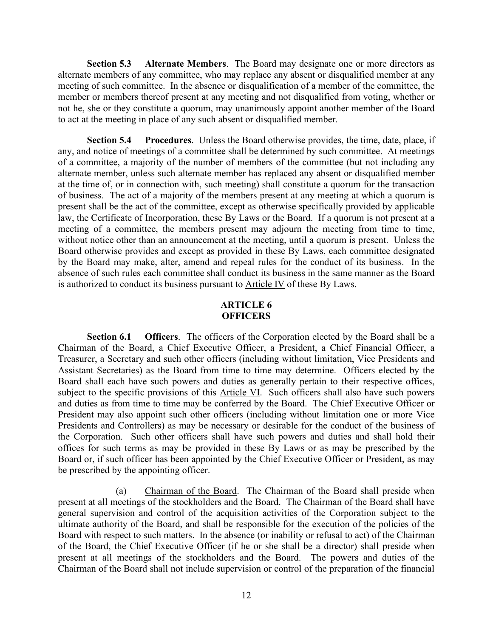**Section 5.3 Alternate Members**. The Board may designate one or more directors as alternate members of any committee, who may replace any absent or disqualified member at any meeting of such committee. In the absence or disqualification of a member of the committee, the member or members thereof present at any meeting and not disqualified from voting, whether or not he, she or they constitute a quorum, may unanimously appoint another member of the Board to act at the meeting in place of any such absent or disqualified member.

**Section 5.4 Procedures**. Unless the Board otherwise provides, the time, date, place, if any, and notice of meetings of a committee shall be determined by such committee. At meetings of a committee, a majority of the number of members of the committee (but not including any alternate member, unless such alternate member has replaced any absent or disqualified member at the time of, or in connection with, such meeting) shall constitute a quorum for the transaction of business. The act of a majority of the members present at any meeting at which a quorum is present shall be the act of the committee, except as otherwise specifically provided by applicable law, the Certificate of Incorporation, these By Laws or the Board. If a quorum is not present at a meeting of a committee, the members present may adjourn the meeting from time to time, without notice other than an announcement at the meeting, until a quorum is present. Unless the Board otherwise provides and except as provided in these By Laws, each committee designated by the Board may make, alter, amend and repeal rules for the conduct of its business. In the absence of such rules each committee shall conduct its business in the same manner as the Board is authorized to conduct its business pursuant to Article IV of these By Laws.

## **ARTICLE 6 OFFICERS**

**Section 6.1 Officers**. The officers of the Corporation elected by the Board shall be a Chairman of the Board, a Chief Executive Officer, a President, a Chief Financial Officer, a Treasurer, a Secretary and such other officers (including without limitation, Vice Presidents and Assistant Secretaries) as the Board from time to time may determine. Officers elected by the Board shall each have such powers and duties as generally pertain to their respective offices, subject to the specific provisions of this Article VI. Such officers shall also have such powers and duties as from time to time may be conferred by the Board. The Chief Executive Officer or President may also appoint such other officers (including without limitation one or more Vice Presidents and Controllers) as may be necessary or desirable for the conduct of the business of the Corporation. Such other officers shall have such powers and duties and shall hold their offices for such terms as may be provided in these By Laws or as may be prescribed by the Board or, if such officer has been appointed by the Chief Executive Officer or President, as may be prescribed by the appointing officer.

(a) Chairman of the Board. The Chairman of the Board shall preside when present at all meetings of the stockholders and the Board. The Chairman of the Board shall have general supervision and control of the acquisition activities of the Corporation subject to the ultimate authority of the Board, and shall be responsible for the execution of the policies of the Board with respect to such matters. In the absence (or inability or refusal to act) of the Chairman of the Board, the Chief Executive Officer (if he or she shall be a director) shall preside when present at all meetings of the stockholders and the Board. The powers and duties of the Chairman of the Board shall not include supervision or control of the preparation of the financial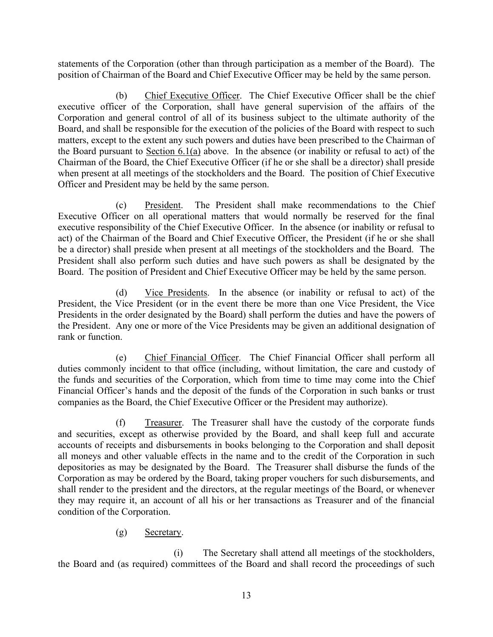statements of the Corporation (other than through participation as a member of the Board). The position of Chairman of the Board and Chief Executive Officer may be held by the same person.

(b) Chief Executive Officer. The Chief Executive Officer shall be the chief executive officer of the Corporation, shall have general supervision of the affairs of the Corporation and general control of all of its business subject to the ultimate authority of the Board, and shall be responsible for the execution of the policies of the Board with respect to such matters, except to the extent any such powers and duties have been prescribed to the Chairman of the Board pursuant to Section 6.1(a) above. In the absence (or inability or refusal to act) of the Chairman of the Board, the Chief Executive Officer (if he or she shall be a director) shall preside when present at all meetings of the stockholders and the Board. The position of Chief Executive Officer and President may be held by the same person.

(c) President. The President shall make recommendations to the Chief Executive Officer on all operational matters that would normally be reserved for the final executive responsibility of the Chief Executive Officer. In the absence (or inability or refusal to act) of the Chairman of the Board and Chief Executive Officer, the President (if he or she shall be a director) shall preside when present at all meetings of the stockholders and the Board. The President shall also perform such duties and have such powers as shall be designated by the Board. The position of President and Chief Executive Officer may be held by the same person.

(d) Vice Presidents. In the absence (or inability or refusal to act) of the President, the Vice President (or in the event there be more than one Vice President, the Vice Presidents in the order designated by the Board) shall perform the duties and have the powers of the President. Any one or more of the Vice Presidents may be given an additional designation of rank or function.

(e) Chief Financial Officer. The Chief Financial Officer shall perform all duties commonly incident to that office (including, without limitation, the care and custody of the funds and securities of the Corporation, which from time to time may come into the Chief Financial Officer's hands and the deposit of the funds of the Corporation in such banks or trust companies as the Board, the Chief Executive Officer or the President may authorize).

(f) Treasurer. The Treasurer shall have the custody of the corporate funds and securities, except as otherwise provided by the Board, and shall keep full and accurate accounts of receipts and disbursements in books belonging to the Corporation and shall deposit all moneys and other valuable effects in the name and to the credit of the Corporation in such depositories as may be designated by the Board. The Treasurer shall disburse the funds of the Corporation as may be ordered by the Board, taking proper vouchers for such disbursements, and shall render to the president and the directors, at the regular meetings of the Board, or whenever they may require it, an account of all his or her transactions as Treasurer and of the financial condition of the Corporation.

# (g) Secretary.

(i) The Secretary shall attend all meetings of the stockholders, the Board and (as required) committees of the Board and shall record the proceedings of such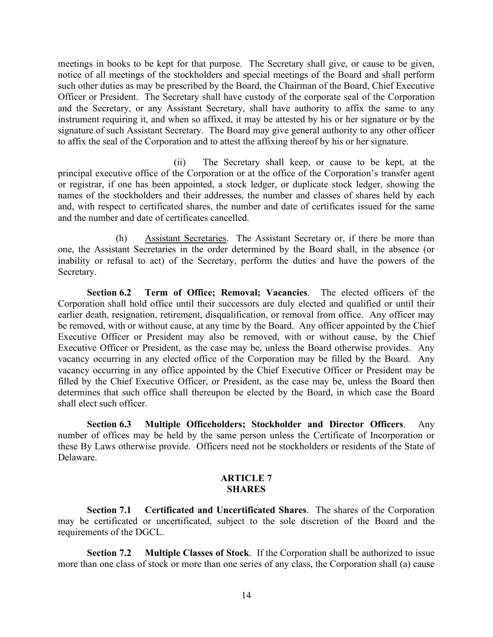meetings in books to be kept for that purpose. The Secretary shall give, or cause to be given, notice of all meetings of the stockholders and special meetings of the Board and shall perform such other duties as may be prescribed by the Board, the Chairman of the Board, Chief Executive Officer or President. The Secretary shall have custody of the corporate seal of the Corporation and the Secretary, or any Assistant Secretary, shall have authority to affix the same to any instrument requiring it, and when so affixed, it may be attested by his or her signature or by the signature of such Assistant Secretary. The Board may give general authority to any other officer to affix the seal of the Corporation and to attest the affixing thereof by his or her signature.

(ii) The Secretary shall keep, or cause to be kept, at the principal executive office of the Corporation or at the office of the Corporation's transfer agent or registrar, if one has been appointed, a stock ledger, or duplicate stock ledger, showing the names of the stockholders and their addresses, the number and classes of shares held by each and, with respect to certificated shares, the number and date of certificates issued for the same and the number and date of certificates cancelled.

(h) Assistant Secretaries. The Assistant Secretary or, if there be more than one, the Assistant Secretaries in the order determined by the Board shall, in the absence (or inability or refusal to act) of the Secretary, perform the duties and have the powers of the Secretary.

**Section 6.2 Term of Office; Removal; Vacancies**. The elected officers of the Corporation shall hold office until their successors are duly elected and qualified or until their earlier death, resignation, retirement, disqualification, or removal from office. Any officer may be removed, with or without cause, at any time by the Board. Any officer appointed by the Chief Executive Officer or President may also be removed, with or without cause, by the Chief Executive Officer or President, as the case may be, unless the Board otherwise provides. Any vacancy occurring in any elected office of the Corporation may be filled by the Board. Any vacancy occurring in any office appointed by the Chief Executive Officer or President may be filled by the Chief Executive Officer, or President, as the case may be, unless the Board then determines that such office shall thereupon be elected by the Board, in which case the Board shall elect such officer.

**Section 6.3 Multiple Officeholders; Stockholder and Director Officers**. Any number of offices may be held by the same person unless the Certificate of Incorporation or these By Laws otherwise provide. Officers need not be stockholders or residents of the State of Delaware.

## **ARTICLE 7 SHARES**

**Section 7.1 Certificated and Uncertificated Shares**. The shares of the Corporation may be certificated or uncertificated, subject to the sole discretion of the Board and the requirements of the DGCL.

**Section 7.2 Multiple Classes of Stock**. If the Corporation shall be authorized to issue more than one class of stock or more than one series of any class, the Corporation shall (a) cause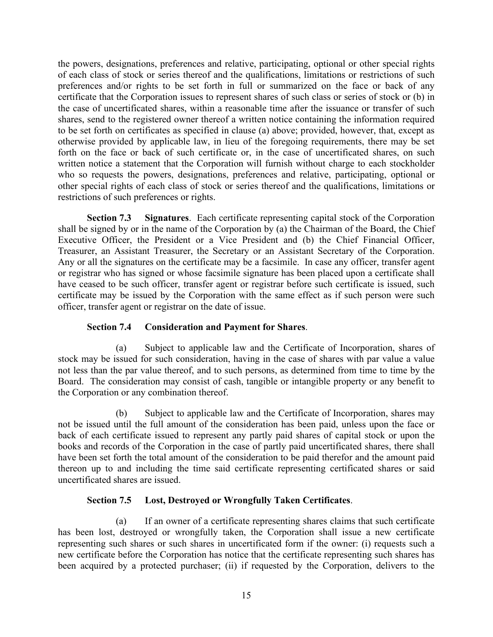the powers, designations, preferences and relative, participating, optional or other special rights of each class of stock or series thereof and the qualifications, limitations or restrictions of such preferences and/or rights to be set forth in full or summarized on the face or back of any certificate that the Corporation issues to represent shares of such class or series of stock or (b) in the case of uncertificated shares, within a reasonable time after the issuance or transfer of such shares, send to the registered owner thereof a written notice containing the information required to be set forth on certificates as specified in clause (a) above; provided, however, that, except as otherwise provided by applicable law, in lieu of the foregoing requirements, there may be set forth on the face or back of such certificate or, in the case of uncertificated shares, on such written notice a statement that the Corporation will furnish without charge to each stockholder who so requests the powers, designations, preferences and relative, participating, optional or other special rights of each class of stock or series thereof and the qualifications, limitations or restrictions of such preferences or rights.

**Section 7.3 Signatures**. Each certificate representing capital stock of the Corporation shall be signed by or in the name of the Corporation by (a) the Chairman of the Board, the Chief Executive Officer, the President or a Vice President and (b) the Chief Financial Officer, Treasurer, an Assistant Treasurer, the Secretary or an Assistant Secretary of the Corporation. Any or all the signatures on the certificate may be a facsimile. In case any officer, transfer agent or registrar who has signed or whose facsimile signature has been placed upon a certificate shall have ceased to be such officer, transfer agent or registrar before such certificate is issued, such certificate may be issued by the Corporation with the same effect as if such person were such officer, transfer agent or registrar on the date of issue.

## **Section 7.4 Consideration and Payment for Shares**.

(a) Subject to applicable law and the Certificate of Incorporation, shares of stock may be issued for such consideration, having in the case of shares with par value a value not less than the par value thereof, and to such persons, as determined from time to time by the Board. The consideration may consist of cash, tangible or intangible property or any benefit to the Corporation or any combination thereof.

(b) Subject to applicable law and the Certificate of Incorporation, shares may not be issued until the full amount of the consideration has been paid, unless upon the face or back of each certificate issued to represent any partly paid shares of capital stock or upon the books and records of the Corporation in the case of partly paid uncertificated shares, there shall have been set forth the total amount of the consideration to be paid therefor and the amount paid thereon up to and including the time said certificate representing certificated shares or said uncertificated shares are issued.

## **Section 7.5 Lost, Destroyed or Wrongfully Taken Certificates**.

(a) If an owner of a certificate representing shares claims that such certificate has been lost, destroyed or wrongfully taken, the Corporation shall issue a new certificate representing such shares or such shares in uncertificated form if the owner: (i) requests such a new certificate before the Corporation has notice that the certificate representing such shares has been acquired by a protected purchaser; (ii) if requested by the Corporation, delivers to the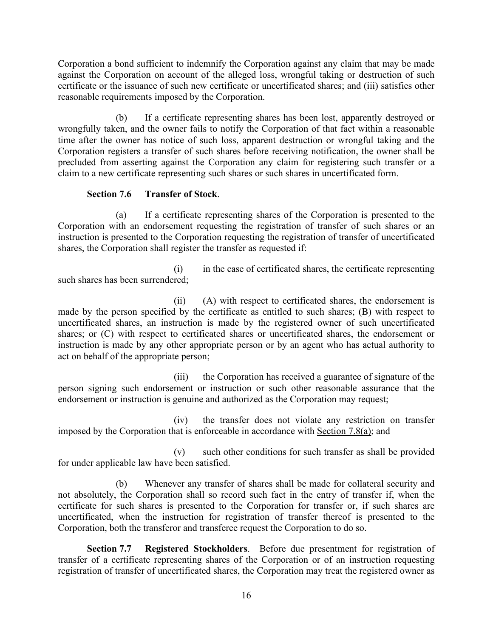Corporation a bond sufficient to indemnify the Corporation against any claim that may be made against the Corporation on account of the alleged loss, wrongful taking or destruction of such certificate or the issuance of such new certificate or uncertificated shares; and (iii) satisfies other reasonable requirements imposed by the Corporation.

(b) If a certificate representing shares has been lost, apparently destroyed or wrongfully taken, and the owner fails to notify the Corporation of that fact within a reasonable time after the owner has notice of such loss, apparent destruction or wrongful taking and the Corporation registers a transfer of such shares before receiving notification, the owner shall be precluded from asserting against the Corporation any claim for registering such transfer or a claim to a new certificate representing such shares or such shares in uncertificated form.

## **Section 7.6 Transfer of Stock**.

(a) If a certificate representing shares of the Corporation is presented to the Corporation with an endorsement requesting the registration of transfer of such shares or an instruction is presented to the Corporation requesting the registration of transfer of uncertificated shares, the Corporation shall register the transfer as requested if:

(i) in the case of certificated shares, the certificate representing such shares has been surrendered;

(ii) (A) with respect to certificated shares, the endorsement is made by the person specified by the certificate as entitled to such shares; (B) with respect to uncertificated shares, an instruction is made by the registered owner of such uncertificated shares; or (C) with respect to certificated shares or uncertificated shares, the endorsement or instruction is made by any other appropriate person or by an agent who has actual authority to act on behalf of the appropriate person;

(iii) the Corporation has received a guarantee of signature of the person signing such endorsement or instruction or such other reasonable assurance that the endorsement or instruction is genuine and authorized as the Corporation may request;

(iv) the transfer does not violate any restriction on transfer imposed by the Corporation that is enforceable in accordance with Section 7.8(a); and

(v) such other conditions for such transfer as shall be provided for under applicable law have been satisfied.

(b) Whenever any transfer of shares shall be made for collateral security and not absolutely, the Corporation shall so record such fact in the entry of transfer if, when the certificate for such shares is presented to the Corporation for transfer or, if such shares are uncertificated, when the instruction for registration of transfer thereof is presented to the Corporation, both the transferor and transferee request the Corporation to do so.

**Section 7.7 Registered Stockholders**. Before due presentment for registration of transfer of a certificate representing shares of the Corporation or of an instruction requesting registration of transfer of uncertificated shares, the Corporation may treat the registered owner as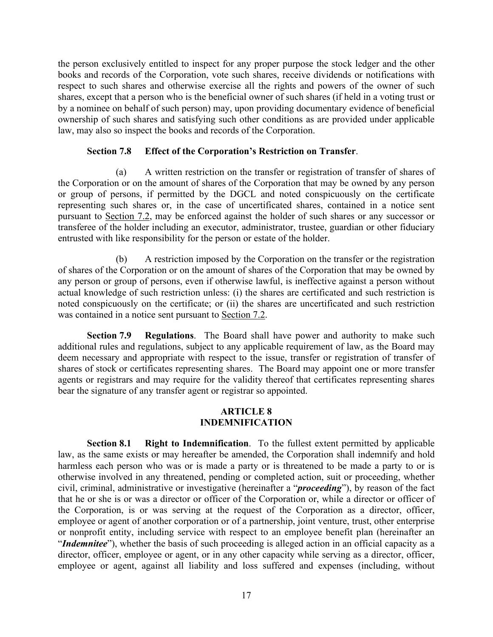the person exclusively entitled to inspect for any proper purpose the stock ledger and the other books and records of the Corporation, vote such shares, receive dividends or notifications with respect to such shares and otherwise exercise all the rights and powers of the owner of such shares, except that a person who is the beneficial owner of such shares (if held in a voting trust or by a nominee on behalf of such person) may, upon providing documentary evidence of beneficial ownership of such shares and satisfying such other conditions as are provided under applicable law, may also so inspect the books and records of the Corporation.

### **Section 7.8 Effect of the Corporation's Restriction on Transfer**.

(a) A written restriction on the transfer or registration of transfer of shares of the Corporation or on the amount of shares of the Corporation that may be owned by any person or group of persons, if permitted by the DGCL and noted conspicuously on the certificate representing such shares or, in the case of uncertificated shares, contained in a notice sent pursuant to Section 7.2, may be enforced against the holder of such shares or any successor or transferee of the holder including an executor, administrator, trustee, guardian or other fiduciary entrusted with like responsibility for the person or estate of the holder.

(b) A restriction imposed by the Corporation on the transfer or the registration of shares of the Corporation or on the amount of shares of the Corporation that may be owned by any person or group of persons, even if otherwise lawful, is ineffective against a person without actual knowledge of such restriction unless: (i) the shares are certificated and such restriction is noted conspicuously on the certificate; or (ii) the shares are uncertificated and such restriction was contained in a notice sent pursuant to Section 7.2.

**Section 7.9 Regulations**. The Board shall have power and authority to make such additional rules and regulations, subject to any applicable requirement of law, as the Board may deem necessary and appropriate with respect to the issue, transfer or registration of transfer of shares of stock or certificates representing shares. The Board may appoint one or more transfer agents or registrars and may require for the validity thereof that certificates representing shares bear the signature of any transfer agent or registrar so appointed.

### **ARTICLE 8 INDEMNIFICATION**

**Section 8.1 Right to Indemnification**. To the fullest extent permitted by applicable law, as the same exists or may hereafter be amended, the Corporation shall indemnify and hold harmless each person who was or is made a party or is threatened to be made a party to or is otherwise involved in any threatened, pending or completed action, suit or proceeding, whether civil, criminal, administrative or investigative (hereinafter a "*proceeding*"), by reason of the fact that he or she is or was a director or officer of the Corporation or, while a director or officer of the Corporation, is or was serving at the request of the Corporation as a director, officer, employee or agent of another corporation or of a partnership, joint venture, trust, other enterprise or nonprofit entity, including service with respect to an employee benefit plan (hereinafter an "*Indemnitee*"), whether the basis of such proceeding is alleged action in an official capacity as a director, officer, employee or agent, or in any other capacity while serving as a director, officer, employee or agent, against all liability and loss suffered and expenses (including, without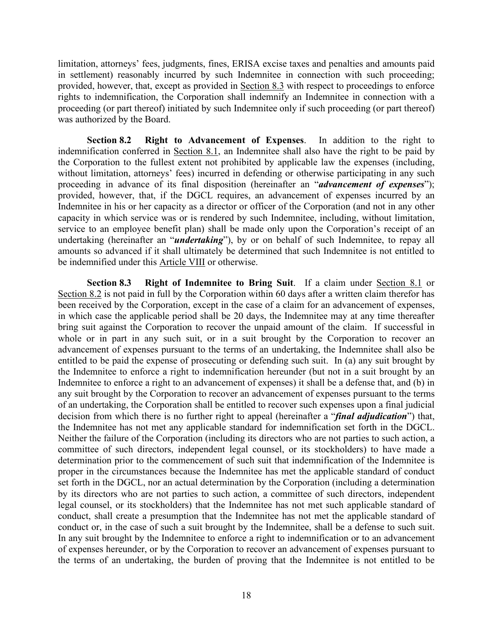limitation, attorneys' fees, judgments, fines, ERISA excise taxes and penalties and amounts paid in settlement) reasonably incurred by such Indemnitee in connection with such proceeding; provided, however, that, except as provided in Section 8.3 with respect to proceedings to enforce rights to indemnification, the Corporation shall indemnify an Indemnitee in connection with a proceeding (or part thereof) initiated by such Indemnitee only if such proceeding (or part thereof) was authorized by the Board.

**Section 8.2 Right to Advancement of Expenses**. In addition to the right to indemnification conferred in Section 8.1, an Indemnitee shall also have the right to be paid by the Corporation to the fullest extent not prohibited by applicable law the expenses (including, without limitation, attorneys' fees) incurred in defending or otherwise participating in any such proceeding in advance of its final disposition (hereinafter an "*advancement of expenses*"); provided, however, that, if the DGCL requires, an advancement of expenses incurred by an Indemnitee in his or her capacity as a director or officer of the Corporation (and not in any other capacity in which service was or is rendered by such Indemnitee, including, without limitation, service to an employee benefit plan) shall be made only upon the Corporation's receipt of an undertaking (hereinafter an "*undertaking*"), by or on behalf of such Indemnitee, to repay all amounts so advanced if it shall ultimately be determined that such Indemnitee is not entitled to be indemnified under this Article VIII or otherwise.

**Section 8.3 Right of Indemnitee to Bring Suit**. If a claim under Section 8.1 or Section 8.2 is not paid in full by the Corporation within 60 days after a written claim therefor has been received by the Corporation, except in the case of a claim for an advancement of expenses, in which case the applicable period shall be 20 days, the Indemnitee may at any time thereafter bring suit against the Corporation to recover the unpaid amount of the claim. If successful in whole or in part in any such suit, or in a suit brought by the Corporation to recover an advancement of expenses pursuant to the terms of an undertaking, the Indemnitee shall also be entitled to be paid the expense of prosecuting or defending such suit. In (a) any suit brought by the Indemnitee to enforce a right to indemnification hereunder (but not in a suit brought by an Indemnitee to enforce a right to an advancement of expenses) it shall be a defense that, and (b) in any suit brought by the Corporation to recover an advancement of expenses pursuant to the terms of an undertaking, the Corporation shall be entitled to recover such expenses upon a final judicial decision from which there is no further right to appeal (hereinafter a "*final adjudication*") that, the Indemnitee has not met any applicable standard for indemnification set forth in the DGCL. Neither the failure of the Corporation (including its directors who are not parties to such action, a committee of such directors, independent legal counsel, or its stockholders) to have made a determination prior to the commencement of such suit that indemnification of the Indemnitee is proper in the circumstances because the Indemnitee has met the applicable standard of conduct set forth in the DGCL, nor an actual determination by the Corporation (including a determination by its directors who are not parties to such action, a committee of such directors, independent legal counsel, or its stockholders) that the Indemnitee has not met such applicable standard of conduct, shall create a presumption that the Indemnitee has not met the applicable standard of conduct or, in the case of such a suit brought by the Indemnitee, shall be a defense to such suit. In any suit brought by the Indemnitee to enforce a right to indemnification or to an advancement of expenses hereunder, or by the Corporation to recover an advancement of expenses pursuant to the terms of an undertaking, the burden of proving that the Indemnitee is not entitled to be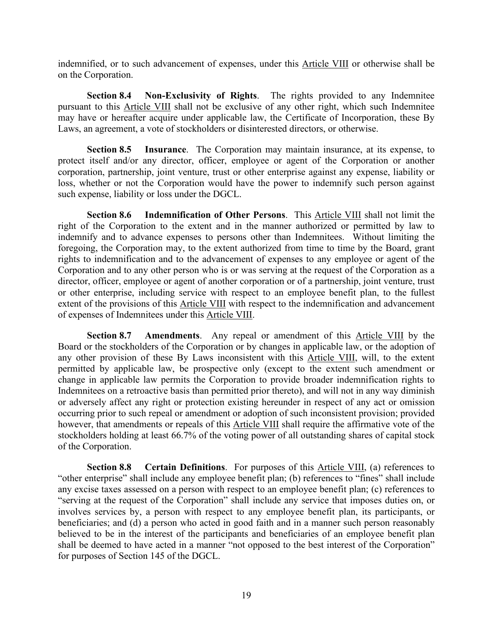indemnified, or to such advancement of expenses, under this Article VIII or otherwise shall be on the Corporation.

**Section 8.4 Non-Exclusivity of Rights**. The rights provided to any Indemnitee pursuant to this Article VIII shall not be exclusive of any other right, which such Indemnitee may have or hereafter acquire under applicable law, the Certificate of Incorporation, these By Laws, an agreement, a vote of stockholders or disinterested directors, or otherwise.

**Section 8.5 Insurance**. The Corporation may maintain insurance, at its expense, to protect itself and/or any director, officer, employee or agent of the Corporation or another corporation, partnership, joint venture, trust or other enterprise against any expense, liability or loss, whether or not the Corporation would have the power to indemnify such person against such expense, liability or loss under the DGCL.

**Section 8.6 Indemnification of Other Persons**. This Article VIII shall not limit the right of the Corporation to the extent and in the manner authorized or permitted by law to indemnify and to advance expenses to persons other than Indemnitees. Without limiting the foregoing, the Corporation may, to the extent authorized from time to time by the Board, grant rights to indemnification and to the advancement of expenses to any employee or agent of the Corporation and to any other person who is or was serving at the request of the Corporation as a director, officer, employee or agent of another corporation or of a partnership, joint venture, trust or other enterprise, including service with respect to an employee benefit plan, to the fullest extent of the provisions of this Article VIII with respect to the indemnification and advancement of expenses of Indemnitees under this Article VIII.

**Section 8.7 Amendments**. Any repeal or amendment of this Article VIII by the Board or the stockholders of the Corporation or by changes in applicable law, or the adoption of any other provision of these By Laws inconsistent with this Article VIII, will, to the extent permitted by applicable law, be prospective only (except to the extent such amendment or change in applicable law permits the Corporation to provide broader indemnification rights to Indemnitees on a retroactive basis than permitted prior thereto), and will not in any way diminish or adversely affect any right or protection existing hereunder in respect of any act or omission occurring prior to such repeal or amendment or adoption of such inconsistent provision; provided however, that amendments or repeals of this Article VIII shall require the affirmative vote of the stockholders holding at least 66.7% of the voting power of all outstanding shares of capital stock of the Corporation.

**Section 8.8 Certain Definitions**. For purposes of this Article VIII, (a) references to "other enterprise" shall include any employee benefit plan; (b) references to "fines" shall include any excise taxes assessed on a person with respect to an employee benefit plan; (c) references to "serving at the request of the Corporation" shall include any service that imposes duties on, or involves services by, a person with respect to any employee benefit plan, its participants, or beneficiaries; and (d) a person who acted in good faith and in a manner such person reasonably believed to be in the interest of the participants and beneficiaries of an employee benefit plan shall be deemed to have acted in a manner "not opposed to the best interest of the Corporation" for purposes of Section 145 of the DGCL.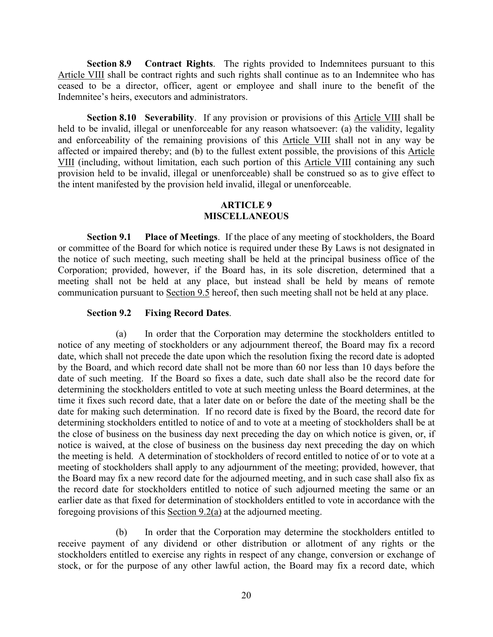**Section 8.9 Contract Rights**. The rights provided to Indemnitees pursuant to this Article VIII shall be contract rights and such rights shall continue as to an Indemnitee who has ceased to be a director, officer, agent or employee and shall inure to the benefit of the Indemnitee's heirs, executors and administrators.

**Section 8.10 Severability**. If any provision or provisions of this Article VIII shall be held to be invalid, illegal or unenforceable for any reason whatsoever: (a) the validity, legality and enforceability of the remaining provisions of this Article VIII shall not in any way be affected or impaired thereby; and (b) to the fullest extent possible, the provisions of this Article VIII (including, without limitation, each such portion of this Article VIII containing any such provision held to be invalid, illegal or unenforceable) shall be construed so as to give effect to the intent manifested by the provision held invalid, illegal or unenforceable.

## **ARTICLE 9 MISCELLANEOUS**

**Section 9.1 Place of Meetings**. If the place of any meeting of stockholders, the Board or committee of the Board for which notice is required under these By Laws is not designated in the notice of such meeting, such meeting shall be held at the principal business office of the Corporation; provided, however, if the Board has, in its sole discretion, determined that a meeting shall not be held at any place, but instead shall be held by means of remote communication pursuant to Section 9.5 hereof, then such meeting shall not be held at any place.

## **Section 9.2 Fixing Record Dates**.

(a) In order that the Corporation may determine the stockholders entitled to notice of any meeting of stockholders or any adjournment thereof, the Board may fix a record date, which shall not precede the date upon which the resolution fixing the record date is adopted by the Board, and which record date shall not be more than 60 nor less than 10 days before the date of such meeting. If the Board so fixes a date, such date shall also be the record date for determining the stockholders entitled to vote at such meeting unless the Board determines, at the time it fixes such record date, that a later date on or before the date of the meeting shall be the date for making such determination. If no record date is fixed by the Board, the record date for determining stockholders entitled to notice of and to vote at a meeting of stockholders shall be at the close of business on the business day next preceding the day on which notice is given, or, if notice is waived, at the close of business on the business day next preceding the day on which the meeting is held. A determination of stockholders of record entitled to notice of or to vote at a meeting of stockholders shall apply to any adjournment of the meeting; provided, however, that the Board may fix a new record date for the adjourned meeting, and in such case shall also fix as the record date for stockholders entitled to notice of such adjourned meeting the same or an earlier date as that fixed for determination of stockholders entitled to vote in accordance with the foregoing provisions of this Section 9.2(a) at the adjourned meeting.

(b) In order that the Corporation may determine the stockholders entitled to receive payment of any dividend or other distribution or allotment of any rights or the stockholders entitled to exercise any rights in respect of any change, conversion or exchange of stock, or for the purpose of any other lawful action, the Board may fix a record date, which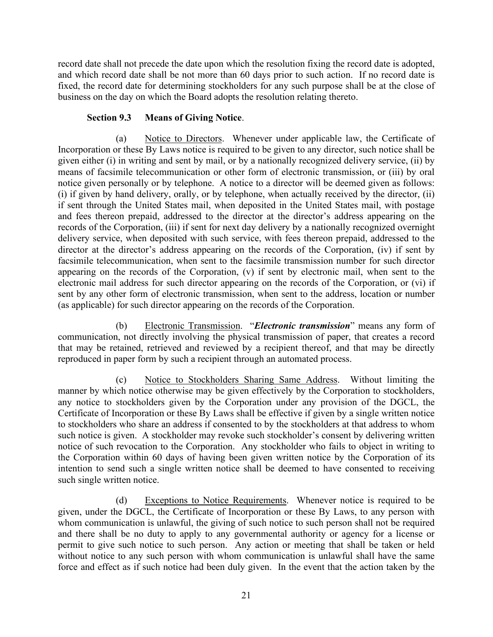record date shall not precede the date upon which the resolution fixing the record date is adopted, and which record date shall be not more than 60 days prior to such action. If no record date is fixed, the record date for determining stockholders for any such purpose shall be at the close of business on the day on which the Board adopts the resolution relating thereto.

## **Section 9.3 Means of Giving Notice**.

(a) Notice to Directors. Whenever under applicable law, the Certificate of Incorporation or these By Laws notice is required to be given to any director, such notice shall be given either (i) in writing and sent by mail, or by a nationally recognized delivery service, (ii) by means of facsimile telecommunication or other form of electronic transmission, or (iii) by oral notice given personally or by telephone. A notice to a director will be deemed given as follows: (i) if given by hand delivery, orally, or by telephone, when actually received by the director, (ii) if sent through the United States mail, when deposited in the United States mail, with postage and fees thereon prepaid, addressed to the director at the director's address appearing on the records of the Corporation, (iii) if sent for next day delivery by a nationally recognized overnight delivery service, when deposited with such service, with fees thereon prepaid, addressed to the director at the director's address appearing on the records of the Corporation, (iv) if sent by facsimile telecommunication, when sent to the facsimile transmission number for such director appearing on the records of the Corporation, (v) if sent by electronic mail, when sent to the electronic mail address for such director appearing on the records of the Corporation, or (vi) if sent by any other form of electronic transmission, when sent to the address, location or number (as applicable) for such director appearing on the records of the Corporation.

(b) Electronic Transmission. "*Electronic transmission*" means any form of communication, not directly involving the physical transmission of paper, that creates a record that may be retained, retrieved and reviewed by a recipient thereof, and that may be directly reproduced in paper form by such a recipient through an automated process.

(c) Notice to Stockholders Sharing Same Address. Without limiting the manner by which notice otherwise may be given effectively by the Corporation to stockholders, any notice to stockholders given by the Corporation under any provision of the DGCL, the Certificate of Incorporation or these By Laws shall be effective if given by a single written notice to stockholders who share an address if consented to by the stockholders at that address to whom such notice is given. A stockholder may revoke such stockholder's consent by delivering written notice of such revocation to the Corporation. Any stockholder who fails to object in writing to the Corporation within 60 days of having been given written notice by the Corporation of its intention to send such a single written notice shall be deemed to have consented to receiving such single written notice.

(d) Exceptions to Notice Requirements. Whenever notice is required to be given, under the DGCL, the Certificate of Incorporation or these By Laws, to any person with whom communication is unlawful, the giving of such notice to such person shall not be required and there shall be no duty to apply to any governmental authority or agency for a license or permit to give such notice to such person. Any action or meeting that shall be taken or held without notice to any such person with whom communication is unlawful shall have the same force and effect as if such notice had been duly given. In the event that the action taken by the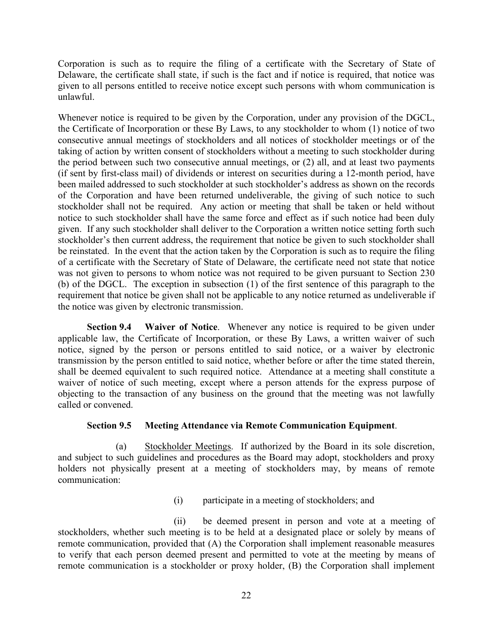Corporation is such as to require the filing of a certificate with the Secretary of State of Delaware, the certificate shall state, if such is the fact and if notice is required, that notice was given to all persons entitled to receive notice except such persons with whom communication is unlawful.

Whenever notice is required to be given by the Corporation, under any provision of the DGCL, the Certificate of Incorporation or these By Laws, to any stockholder to whom (1) notice of two consecutive annual meetings of stockholders and all notices of stockholder meetings or of the taking of action by written consent of stockholders without a meeting to such stockholder during the period between such two consecutive annual meetings, or (2) all, and at least two payments (if sent by first-class mail) of dividends or interest on securities during a 12-month period, have been mailed addressed to such stockholder at such stockholder's address as shown on the records of the Corporation and have been returned undeliverable, the giving of such notice to such stockholder shall not be required. Any action or meeting that shall be taken or held without notice to such stockholder shall have the same force and effect as if such notice had been duly given. If any such stockholder shall deliver to the Corporation a written notice setting forth such stockholder's then current address, the requirement that notice be given to such stockholder shall be reinstated. In the event that the action taken by the Corporation is such as to require the filing of a certificate with the Secretary of State of Delaware, the certificate need not state that notice was not given to persons to whom notice was not required to be given pursuant to Section 230 (b) of the DGCL. The exception in subsection (1) of the first sentence of this paragraph to the requirement that notice be given shall not be applicable to any notice returned as undeliverable if the notice was given by electronic transmission.

**Section 9.4 Waiver of Notice**. Whenever any notice is required to be given under applicable law, the Certificate of Incorporation, or these By Laws, a written waiver of such notice, signed by the person or persons entitled to said notice, or a waiver by electronic transmission by the person entitled to said notice, whether before or after the time stated therein, shall be deemed equivalent to such required notice. Attendance at a meeting shall constitute a waiver of notice of such meeting, except where a person attends for the express purpose of objecting to the transaction of any business on the ground that the meeting was not lawfully called or convened.

### **Section 9.5 Meeting Attendance via Remote Communication Equipment**.

(a) Stockholder Meetings. If authorized by the Board in its sole discretion, and subject to such guidelines and procedures as the Board may adopt, stockholders and proxy holders not physically present at a meeting of stockholders may, by means of remote communication:

(i) participate in a meeting of stockholders; and

(ii) be deemed present in person and vote at a meeting of stockholders, whether such meeting is to be held at a designated place or solely by means of remote communication, provided that (A) the Corporation shall implement reasonable measures to verify that each person deemed present and permitted to vote at the meeting by means of remote communication is a stockholder or proxy holder, (B) the Corporation shall implement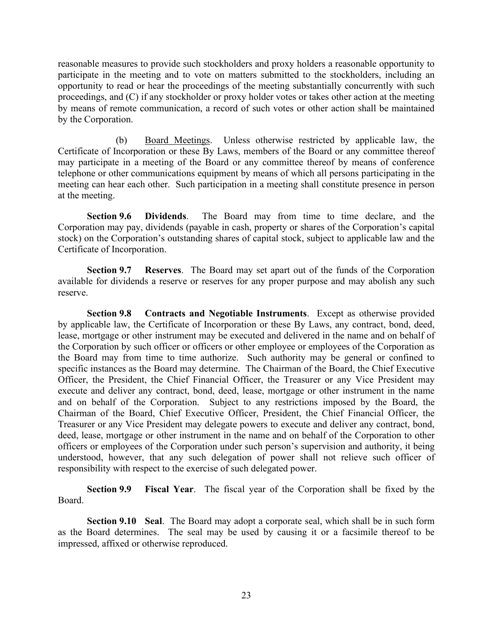reasonable measures to provide such stockholders and proxy holders a reasonable opportunity to participate in the meeting and to vote on matters submitted to the stockholders, including an opportunity to read or hear the proceedings of the meeting substantially concurrently with such proceedings, and (C) if any stockholder or proxy holder votes or takes other action at the meeting by means of remote communication, a record of such votes or other action shall be maintained by the Corporation.

(b) Board Meetings. Unless otherwise restricted by applicable law, the Certificate of Incorporation or these By Laws, members of the Board or any committee thereof may participate in a meeting of the Board or any committee thereof by means of conference telephone or other communications equipment by means of which all persons participating in the meeting can hear each other. Such participation in a meeting shall constitute presence in person at the meeting.

**Section 9.6 Dividends**. The Board may from time to time declare, and the Corporation may pay, dividends (payable in cash, property or shares of the Corporation's capital stock) on the Corporation's outstanding shares of capital stock, subject to applicable law and the Certificate of Incorporation.

**Section 9.7 Reserves**. The Board may set apart out of the funds of the Corporation available for dividends a reserve or reserves for any proper purpose and may abolish any such reserve.

**Section 9.8 Contracts and Negotiable Instruments**. Except as otherwise provided by applicable law, the Certificate of Incorporation or these By Laws, any contract, bond, deed, lease, mortgage or other instrument may be executed and delivered in the name and on behalf of the Corporation by such officer or officers or other employee or employees of the Corporation as the Board may from time to time authorize. Such authority may be general or confined to specific instances as the Board may determine. The Chairman of the Board, the Chief Executive Officer, the President, the Chief Financial Officer, the Treasurer or any Vice President may execute and deliver any contract, bond, deed, lease, mortgage or other instrument in the name and on behalf of the Corporation. Subject to any restrictions imposed by the Board, the Chairman of the Board, Chief Executive Officer, President, the Chief Financial Officer, the Treasurer or any Vice President may delegate powers to execute and deliver any contract, bond, deed, lease, mortgage or other instrument in the name and on behalf of the Corporation to other officers or employees of the Corporation under such person's supervision and authority, it being understood, however, that any such delegation of power shall not relieve such officer of responsibility with respect to the exercise of such delegated power.

**Section 9.9 Fiscal Year**. The fiscal year of the Corporation shall be fixed by the Board.

**Section 9.10 Seal**. The Board may adopt a corporate seal, which shall be in such form as the Board determines. The seal may be used by causing it or a facsimile thereof to be impressed, affixed or otherwise reproduced.